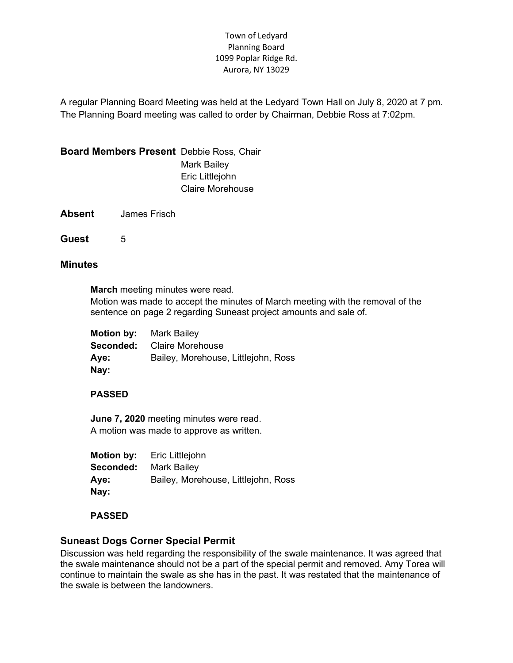### Town of Ledyard Planning Board 1099 Poplar Ridge Rd. Aurora, NY 13029

A regular Planning Board Meeting was held at the Ledyard Town Hall on July 8, 2020 at 7 pm. The Planning Board meeting was called to order by Chairman, Debbie Ross at 7:02pm.

Board Members Present Debbie Ross, Chair

Mark Bailey Eric Littlejohn Claire Morehouse

Absent James Frisch

Guest 5

## **Minutes**

March meeting minutes were read.

Motion was made to accept the minutes of March meeting with the removal of the sentence on page 2 regarding Suneast project amounts and sale of.

Motion by: Mark Bailey Seconded: Claire Morehouse Aye: Bailey, Morehouse, Littlejohn, Ross Nay:

# PASSED

June 7, 2020 meeting minutes were read. A motion was made to approve as written.

Motion by: Eric Littlejohn Seconded: Mark Bailey Aye: Bailey, Morehouse, Littlejohn, Ross Nay:

# PASSED

# Suneast Dogs Corner Special Permit

Discussion was held regarding the responsibility of the swale maintenance. It was agreed that the swale maintenance should not be a part of the special permit and removed. Amy Torea will continue to maintain the swale as she has in the past. It was restated that the maintenance of the swale is between the landowners.